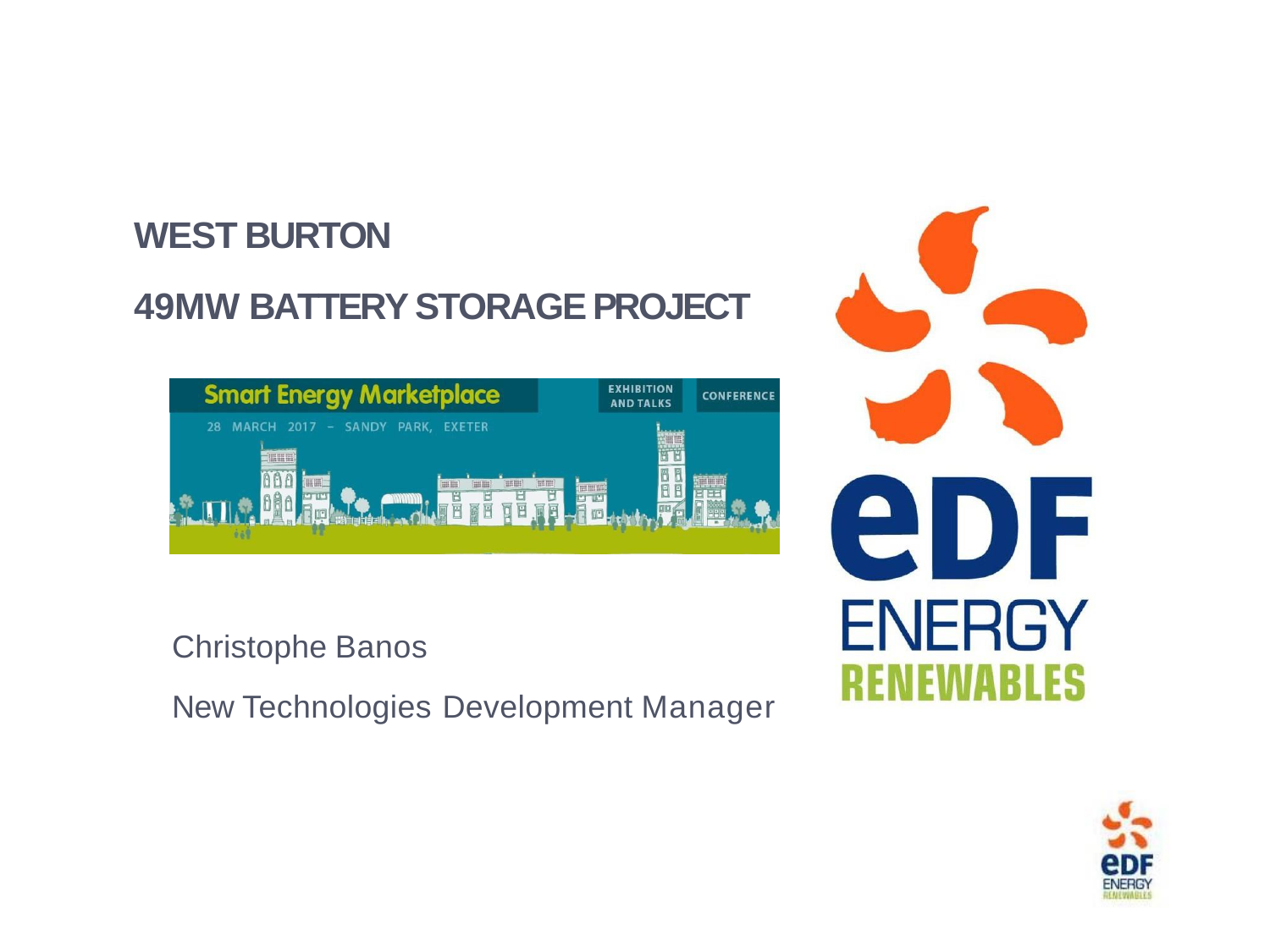## **WEST BURTON**

# **49MW BATTERY STORAGE PROJECT**

| <b>Smart Energy Marketplace</b>                                                             | <b>EXHIBITION</b><br><b>CONFERE</b><br><b>AND TALKS</b> |
|---------------------------------------------------------------------------------------------|---------------------------------------------------------|
| MARCH 2017 - SANDY PARK,<br>28<br><b>EXETER</b><br>曲曲<br>HIL<br>曲曲<br>Ē<br>Ē<br>Ī<br>圓<br>E | 田田<br>not be not<br>8<br>肎<br>扁                         |

Christophe Banos

New Technologies Development Manager



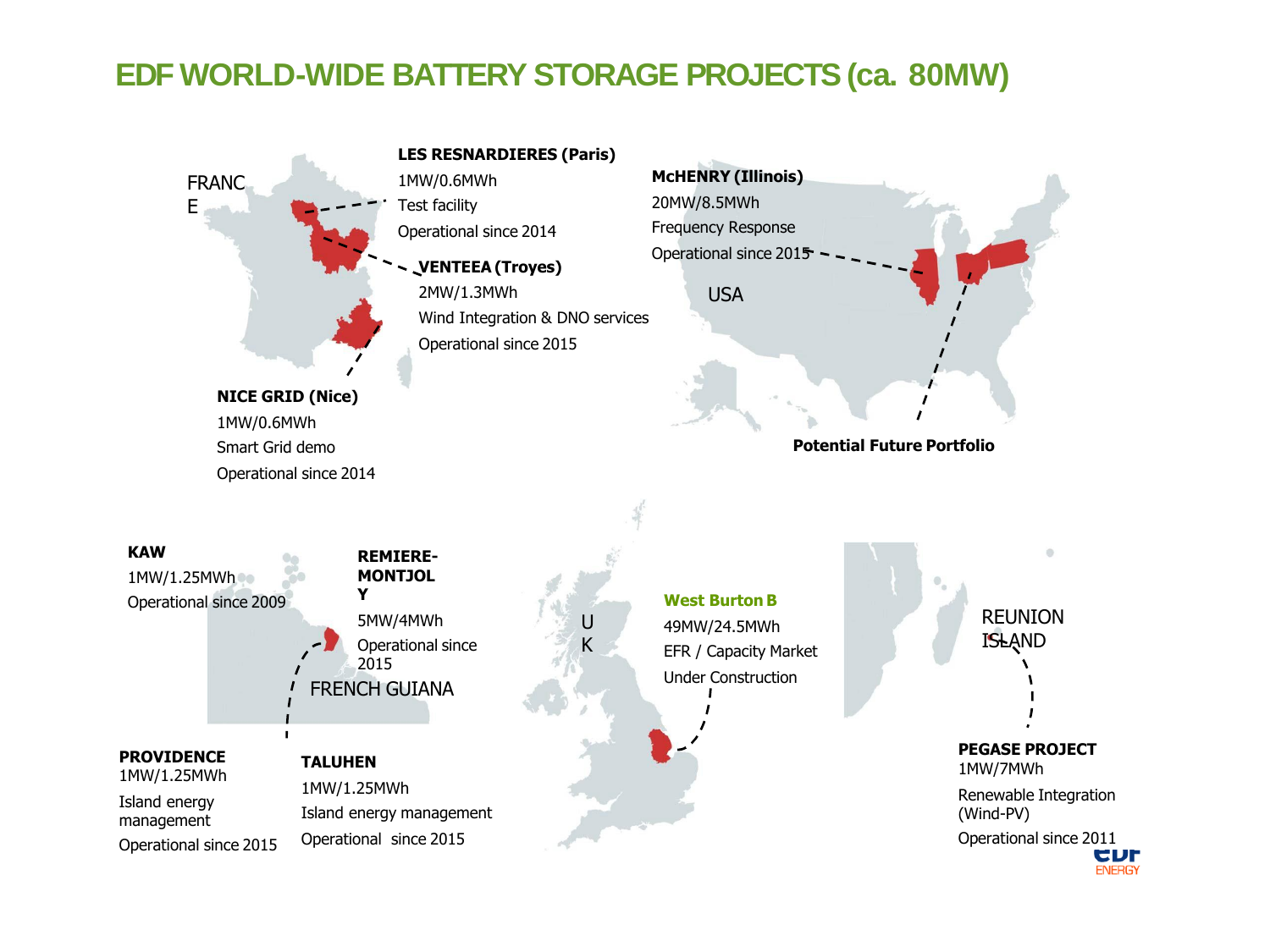### **EDF WORLD-WIDE BATTERY STORAGE PROJECTS (ca. 80MW)**



CDL **ENERGY**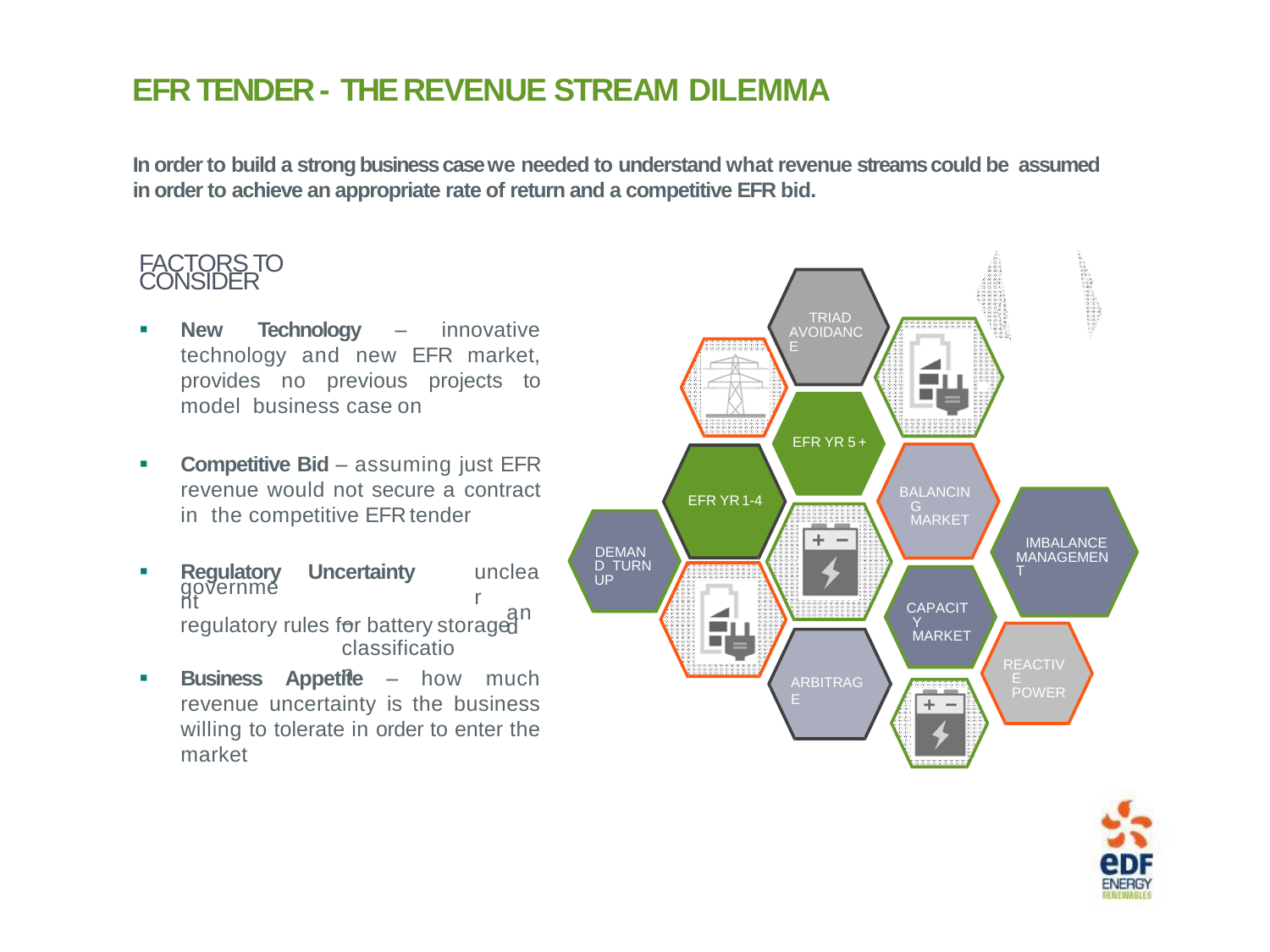### <sup>33</sup> **EFR TENDER - THE REVENUE STREAM DILEMMA**

**In order to build a strong business case we needed to understand what revenue streams could be assumed in order to achieve an appropriate rate of return and a competitive EFR bid.**

# FACTORS TO

- **New Technology** innovative technology and new EFR market, provides no previous projects to model business case on
- **Competitive Bid** assuming just EFR revenue would not secure a contract in the competitive EFR tender
- **Regulatory** governme nt **Uncertainty** – an regulatory rules for battery storaged classificatio unclea r
- **Business Appetite** how much revenue uncertainty is the business willing to tolerate in order to enter the market



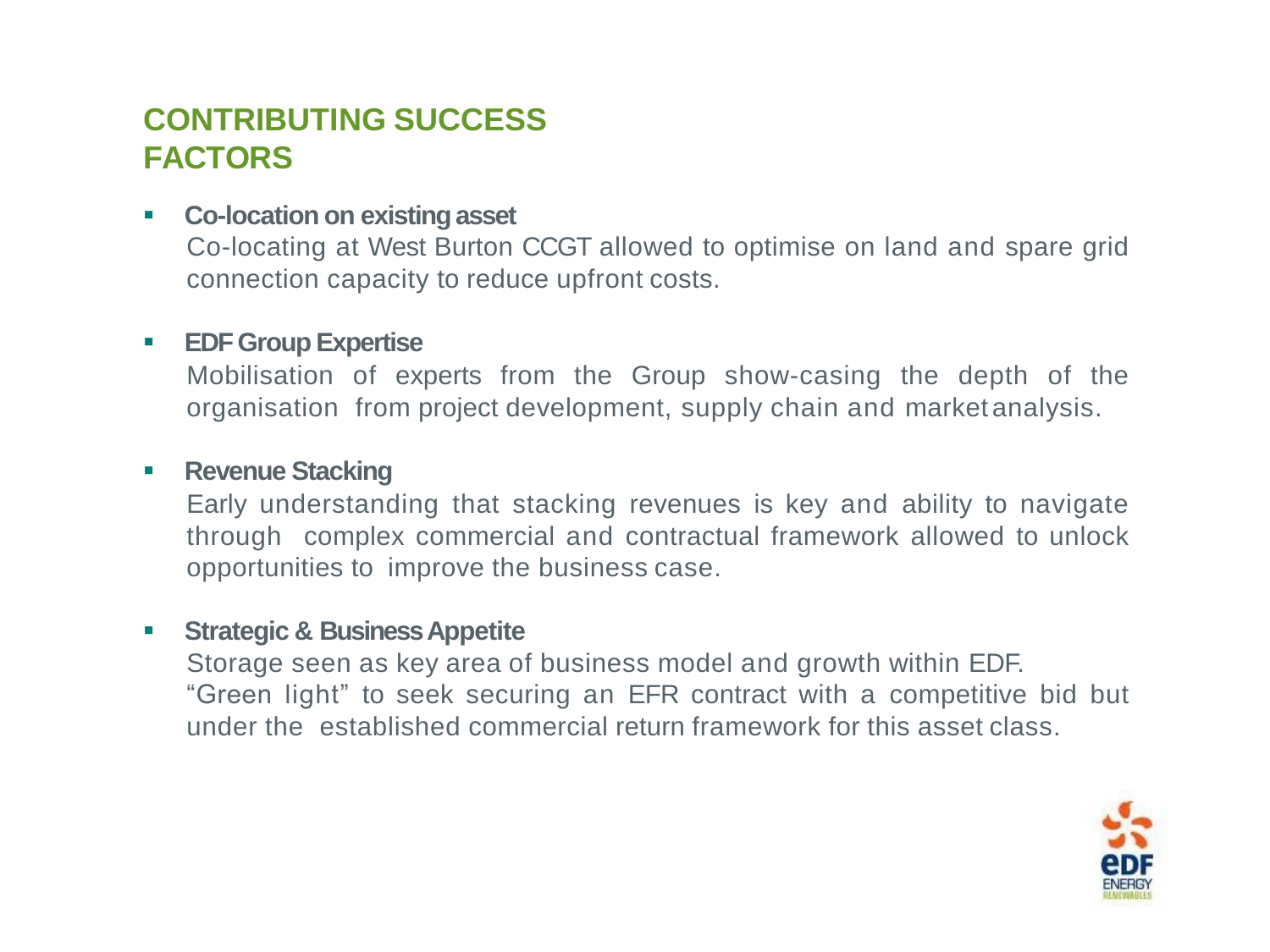## **CONTRIBUTING SUCCESS FACTORS**

#### **Co-location on existingasset**

Co-locating at West Burton CCGT allowed to optimise on land and spare grid connection capacity to reduce upfront costs.

#### **EDF Group Expertise**

Mobilisation of experts from the Group show-casing the depth of the organisation from project development, supply chain and market analysis.

#### **Revenue Stacking**

Early understanding that stacking revenues is key and ability to navigate through complex commercial and contractual framework allowed to unlock opportunities to improve the business case.

#### **Strategic & BusinessAppetite**

Storage seen as key area of business model and growth within EDF. "Green light" to seek securing an EFR contract with a competitive bid but under the established commercial return framework for this asset class.